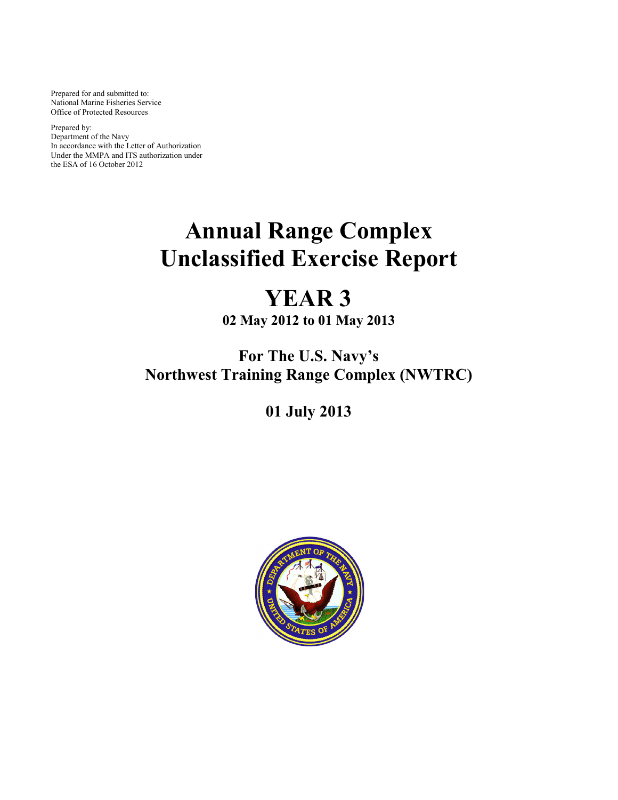Prepared for and submitted to: National Marine Fisheries Service Office of Protected Resources

Prepared by: Department of the Navy In accordance with the Letter of Authorization Under the MMPA and ITS authorization under the ESA of 16 October 2012

# **Annual Range Complex Unclassified Exercise Report**

## **YEAR 3 02 May 2012 to 01 May 2013**

**For The U.S. Navy's Northwest Training Range Complex (NWTRC)**

**01 July 2013**

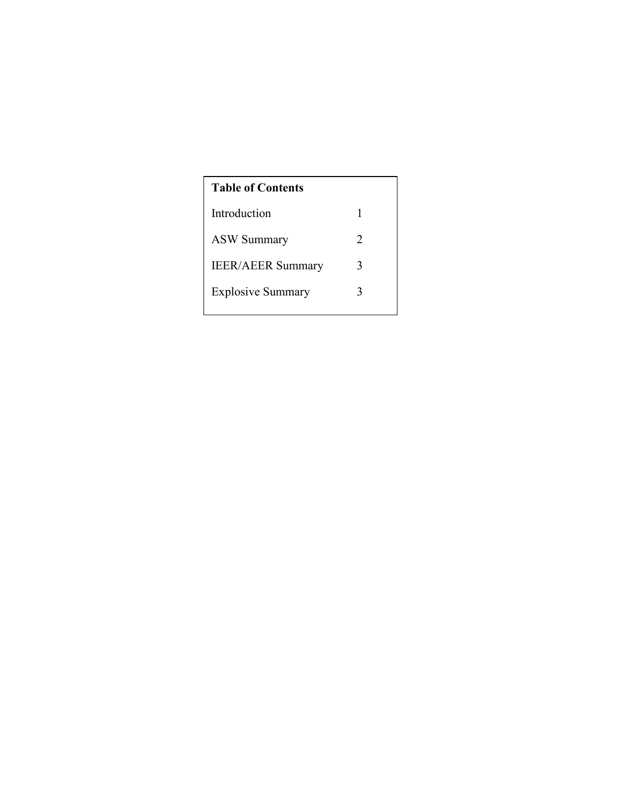| <b>Table of Contents</b> |                             |  |  |  |  |
|--------------------------|-----------------------------|--|--|--|--|
| Introduction             | 1                           |  |  |  |  |
| <b>ASW Summary</b>       | $\mathcal{D}_{\mathcal{L}}$ |  |  |  |  |
| <b>IEER/AEER Summary</b> | 3                           |  |  |  |  |
| <b>Explosive Summary</b> | 3                           |  |  |  |  |
|                          |                             |  |  |  |  |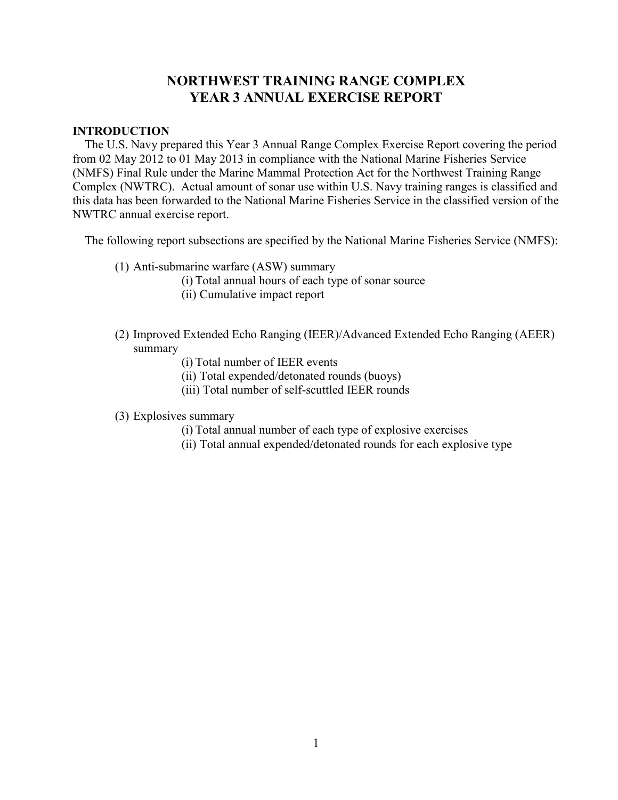### **NORTHWEST TRAINING RANGE COMPLEX YEAR 3 ANNUAL EXERCISE REPORT**

#### **INTRODUCTION**

 The U.S. Navy prepared this Year 3 Annual Range Complex Exercise Report covering the period from 02 May 2012 to 01 May 2013 in compliance with the National Marine Fisheries Service (NMFS) Final Rule under the Marine Mammal Protection Act for the Northwest Training Range Complex (NWTRC). Actual amount of sonar use within U.S. Navy training ranges is classified and this data has been forwarded to the National Marine Fisheries Service in the classified version of the NWTRC annual exercise report.

The following report subsections are specified by the National Marine Fisheries Service (NMFS):

- (1) Anti-submarine warfare (ASW) summary
	- (i) Total annual hours of each type of sonar source
	- (ii) Cumulative impact report
- (2) Improved Extended Echo Ranging (IEER)/Advanced Extended Echo Ranging (AEER) summary
	- (i) Total number of IEER events
	- (ii) Total expended/detonated rounds (buoys)
	- (iii) Total number of self-scuttled IEER rounds
- (3) Explosives summary
	- (i) Total annual number of each type of explosive exercises
	- (ii) Total annual expended/detonated rounds for each explosive type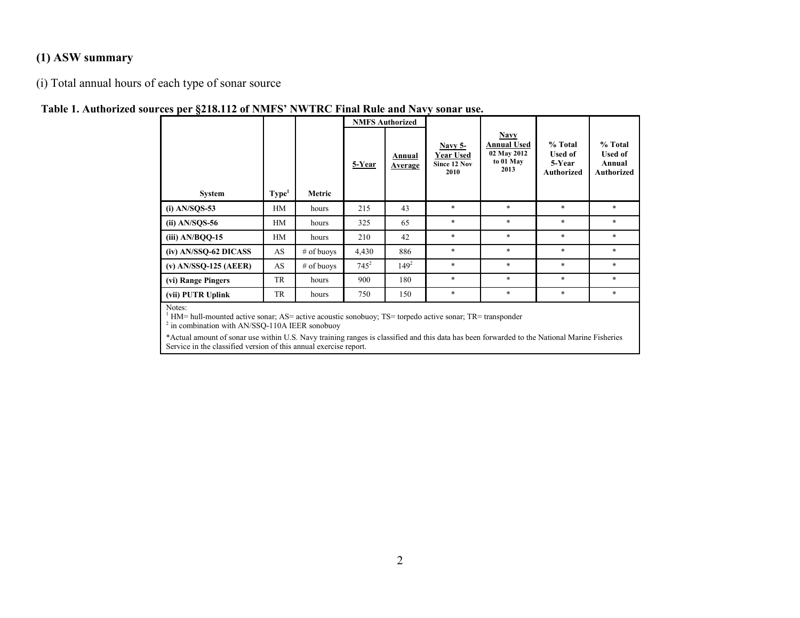#### **(1) ASW summary**

(i) Total annual hours of each type of sonar source

#### **Table 1. Authorized sources per §218.112 of NMFS' NWTRC Final Rule and Navy sonar use.**

| $\cdot$                 |                   |              | <b>NMFS Authorized</b> |                   |                                              |                                                                       |                                                          |                                                          |
|-------------------------|-------------------|--------------|------------------------|-------------------|----------------------------------------------|-----------------------------------------------------------------------|----------------------------------------------------------|----------------------------------------------------------|
| <b>System</b>           | Type <sup>1</sup> | Metric       | 5-Year                 | Annual<br>Average | Navy 5-<br>Year Used<br>Since 12 Nov<br>2010 | <b>Navy</b><br><b>Annual Used</b><br>02 May 2012<br>to 01 May<br>2013 | % Total<br><b>Used of</b><br>5-Year<br><b>Authorized</b> | % Total<br><b>Used of</b><br>Annual<br><b>Authorized</b> |
| $(i)$ AN/SQS-53         | HM                | hours        | 215                    | 43                | $\ast$                                       | *                                                                     | $\ast$                                                   | $\ast$                                                   |
| $(ii)$ AN/SQS-56        | HM                | hours        | 325                    | 65                | $\ast$                                       | $\ast$                                                                | $\ast$                                                   | $\ast$                                                   |
| $(iii)$ AN/BQQ-15       | HM                | hours        | 210                    | 42                | $\ast$                                       | $\ast$                                                                | $\ast$                                                   | $\ast$                                                   |
| (iv) AN/SSQ-62 DICASS   | AS                | $#$ of buoys | 4,430                  | 886               | $\ast$                                       | *                                                                     | $\ast$                                                   | $\ast$                                                   |
| $(v)$ AN/SSQ-125 (AEER) | AS                | # of buoys   | $745^2$                | $149^2$           | $\ast$                                       | $\ast$                                                                | $\ast$                                                   | $\ast$                                                   |
| (vi) Range Pingers      | TR                | hours        | 900                    | 180               | $\ast$                                       | $\ast$                                                                | $\ast$                                                   | $\ast$                                                   |
| (vii) PUTR Uplink       | TR                | hours        | 750                    | 150               | $\ast$                                       | *                                                                     | $\ast$                                                   | $\ast$                                                   |
| Notes:                  |                   |              |                        |                   |                                              |                                                                       |                                                          |                                                          |

<sup>1</sup> HM= hull-mounted active sonar; AS= active acoustic sonobuoy; TS= torpedo active sonar; TR= transponder  $^2$  in combination with AN/SSQ-110A IEER sonobuoy

\*Actual amount of sonar use within U.S. Navy training ranges is classified and this data has been forwarded to the National Marine Fisheries Service in the classified version of this annual exercise report.